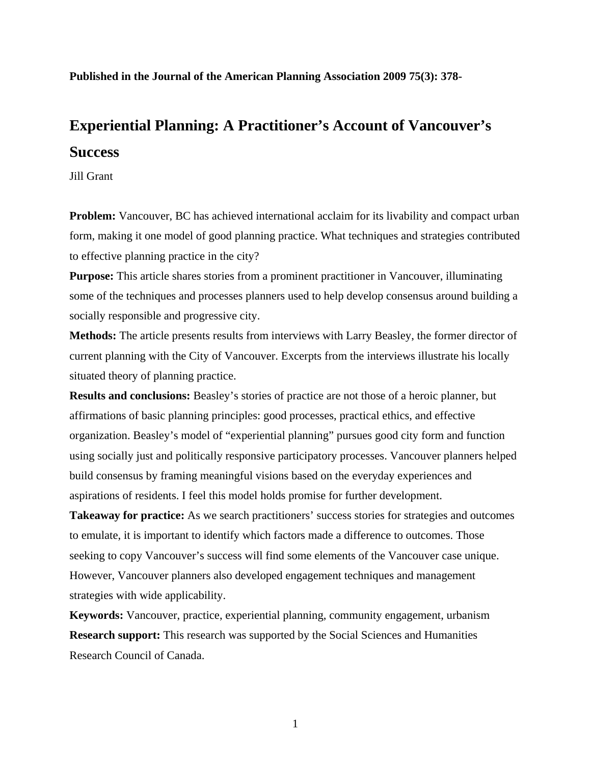**Published in the Journal of the American Planning Association 2009 75(3): 378-** 

# **Experiential Planning: A Practitioner's Account of Vancouver's Success**

Jill Grant

**Problem:** Vancouver, BC has achieved international acclaim for its livability and compact urban form, making it one model of good planning practice. What techniques and strategies contributed to effective planning practice in the city?

**Purpose:** This article shares stories from a prominent practitioner in Vancouver, illuminating some of the techniques and processes planners used to help develop consensus around building a socially responsible and progressive city.

**Methods:** The article presents results from interviews with Larry Beasley, the former director of current planning with the City of Vancouver. Excerpts from the interviews illustrate his locally situated theory of planning practice.

**Results and conclusions:** Beasley's stories of practice are not those of a heroic planner, but affirmations of basic planning principles: good processes, practical ethics, and effective organization. Beasley's model of "experiential planning" pursues good city form and function using socially just and politically responsive participatory processes. Vancouver planners helped build consensus by framing meaningful visions based on the everyday experiences and aspirations of residents. I feel this model holds promise for further development.

**Takeaway for practice:** As we search practitioners' success stories for strategies and outcomes to emulate, it is important to identify which factors made a difference to outcomes. Those seeking to copy Vancouver's success will find some elements of the Vancouver case unique. However, Vancouver planners also developed engagement techniques and management strategies with wide applicability.

**Keywords:** Vancouver, practice, experiential planning, community engagement, urbanism **Research support:** This research was supported by the Social Sciences and Humanities Research Council of Canada.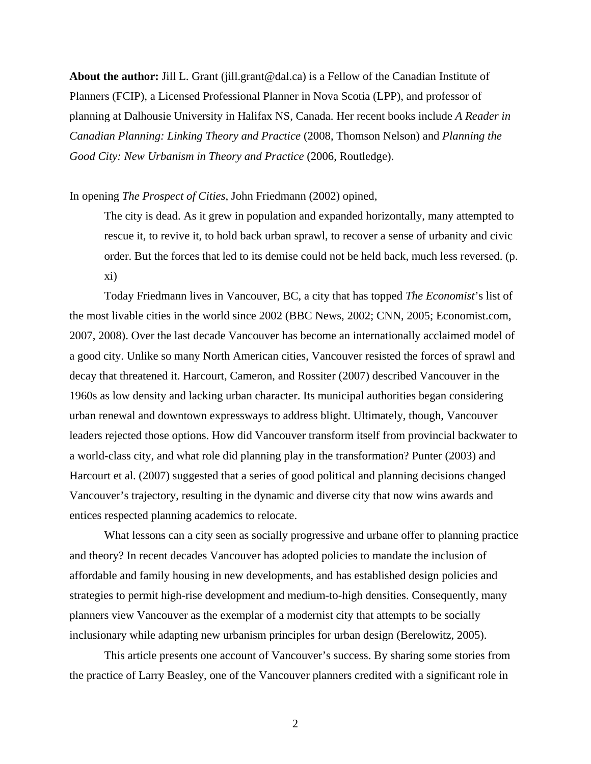**About the author:** Jill L. Grant [\(jill.grant@dal.ca](mailto:jill.grant@dal.ca)) is a Fellow of the Canadian Institute of Planners (FCIP), a Licensed Professional Planner in Nova Scotia (LPP), and professor of planning at Dalhousie University in Halifax NS, Canada. Her recent books include *A Reader in Canadian Planning: Linking Theory and Practice* (2008, Thomson Nelson) and *Planning the Good City: New Urbanism in Theory and Practice* (2006, Routledge).

In opening *The Prospect of Cities*, John Friedmann (2002) opined,

The city is dead. As it grew in population and expanded horizontally, many attempted to rescue it, to revive it, to hold back urban sprawl, to recover a sense of urbanity and civic order. But the forces that led to its demise could not be held back, much less reversed. (p. xi)

Today Friedmann lives in Vancouver, BC, a city that has topped *The Economist*'s list of the most livable cities in the world since 2002 (BBC News, 2002; CNN, 2005; Economist.com, 2007, 2008). Over the last decade Vancouver has become an internationally acclaimed model of a good city. Unlike so many North American cities, Vancouver resisted the forces of sprawl and decay that threatened it. Harcourt, Cameron, and Rossiter (2007) described Vancouver in the 1960s as low density and lacking urban character. Its municipal authorities began considering urban renewal and downtown expressways to address blight. Ultimately, though, Vancouver leaders rejected those options. How did Vancouver transform itself from provincial backwater to a world-class city, and what role did planning play in the transformation? Punter (2003) and Harcourt et al. (2007) suggested that a series of good political and planning decisions changed Vancouver's trajectory, resulting in the dynamic and diverse city that now wins awards and entices respected planning academics to relocate.

What lessons can a city seen as socially progressive and urbane offer to planning practice and theory? In recent decades Vancouver has adopted policies to mandate the inclusion of affordable and family housing in new developments, and has established design policies and strategies to permit high-rise development and medium-to-high densities. Consequently, many planners view Vancouver as the exemplar of a modernist city that attempts to be socially inclusionary while adapting new urbanism principles for urban design (Berelowitz, 2005).

This article presents one account of Vancouver's success. By sharing some stories from the practice of Larry Beasley, one of the Vancouver planners credited with a significant role in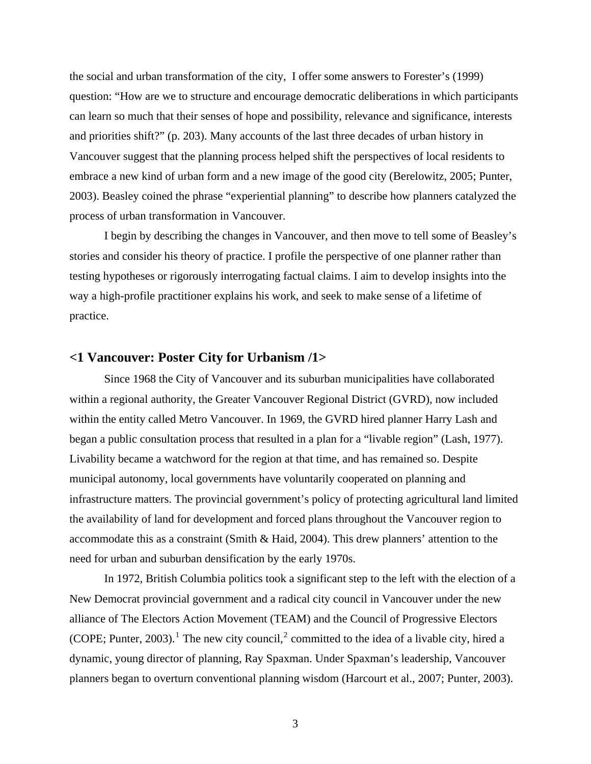the social and urban transformation of the city, I offer some answers to Forester's (1999) question: "How are we to structure and encourage democratic deliberations in which participants can learn so much that their senses of hope and possibility, relevance and significance, interests and priorities shift?" (p. 203). Many accounts of the last three decades of urban history in Vancouver suggest that the planning process helped shift the perspectives of local residents to embrace a new kind of urban form and a new image of the good city (Berelowitz, 2005; Punter, 2003). Beasley coined the phrase "experiential planning" to describe how planners catalyzed the process of urban transformation in Vancouver.

I begin by describing the changes in Vancouver, and then move to tell some of Beasley's stories and consider his theory of practice. I profile the perspective of one planner rather than testing hypotheses or rigorously interrogating factual claims. I aim to develop insights into the way a high-profile practitioner explains his work, and seek to make sense of a lifetime of practice.

# **<1 Vancouver: Poster City for Urbanism /1>**

Since 1968 the City of Vancouver and its suburban municipalities have collaborated within a regional authority, the Greater Vancouver Regional District (GVRD), now included within the entity called Metro Vancouver. In 1969, the GVRD hired planner Harry Lash and began a public consultation process that resulted in a plan for a "livable region" (Lash, 1977). Livability became a watchword for the region at that time, and has remained so. Despite municipal autonomy, local governments have voluntarily cooperated on planning and infrastructure matters. The provincial government's policy of protecting agricultural land limited the availability of land for development and forced plans throughout the Vancouver region to accommodate this as a constraint (Smith & Haid, 2004). This drew planners' attention to the need for urban and suburban densification by the early 1970s.

In 1972, British Columbia politics took a significant step to the left with the election of a New Democrat provincial government and a radical city council in Vancouver under the new alliance of The Electors Action Movement (TEAM) and the Council of Progressive Electors (COPE; Punter, 2003).<sup>[1](#page-25-0)</sup> The new city council,<sup>[2](#page-25-1)</sup> committed to the idea of a livable city, hired a dynamic, young director of planning, Ray Spaxman. Under Spaxman's leadership, Vancouver planners began to overturn conventional planning wisdom (Harcourt et al., 2007; Punter, 2003).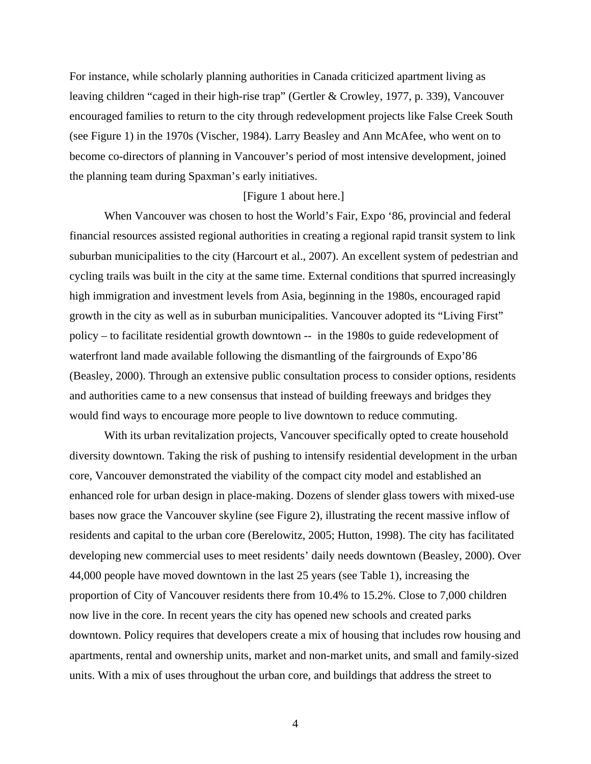For instance, while scholarly planning authorities in Canada criticized apartment living as leaving children "caged in their high-rise trap" (Gertler & Crowley, 1977, p. 339), Vancouver encouraged families to return to the city through redevelopment projects like False Creek South (see Figure 1) in the 1970s (Vischer, 1984). Larry Beasley and Ann McAfee, who went on to become co-directors of planning in Vancouver's period of most intensive development, joined the planning team during Spaxman's early initiatives.

## [Figure 1 about here.]

When Vancouver was chosen to host the World's Fair, Expo '86, provincial and federal financial resources assisted regional authorities in creating a regional rapid transit system to link suburban municipalities to the city (Harcourt et al., 2007). An excellent system of pedestrian and cycling trails was built in the city at the same time. External conditions that spurred increasingly high immigration and investment levels from Asia, beginning in the 1980s, encouraged rapid growth in the city as well as in suburban municipalities. Vancouver adopted its "Living First" policy – to facilitate residential growth downtown -- in the 1980s to guide redevelopment of waterfront land made available following the dismantling of the fairgrounds of Expo'86 (Beasley, 2000). Through an extensive public consultation process to consider options, residents and authorities came to a new consensus that instead of building freeways and bridges they would find ways to encourage more people to live downtown to reduce commuting.

With its urban revitalization projects, Vancouver specifically opted to create household diversity downtown. Taking the risk of pushing to intensify residential development in the urban core, Vancouver demonstrated the viability of the compact city model and established an enhanced role for urban design in place-making. Dozens of slender glass towers with mixed-use bases now grace the Vancouver skyline (see Figure 2), illustrating the recent massive inflow of residents and capital to the urban core (Berelowitz, 2005; Hutton, 1998). The city has facilitated developing new commercial uses to meet residents' daily needs downtown (Beasley, 2000). Over 44,000 people have moved downtown in the last 25 years (see Table 1), increasing the proportion of City of Vancouver residents there from 10.4% to 15.2%. Close to 7,000 children now live in the core. In recent years the city has opened new schools and created parks downtown. Policy requires that developers create a mix of housing that includes row housing and apartments, rental and ownership units, market and non-market units, and small and family-sized units. With a mix of uses throughout the urban core, and buildings that address the street to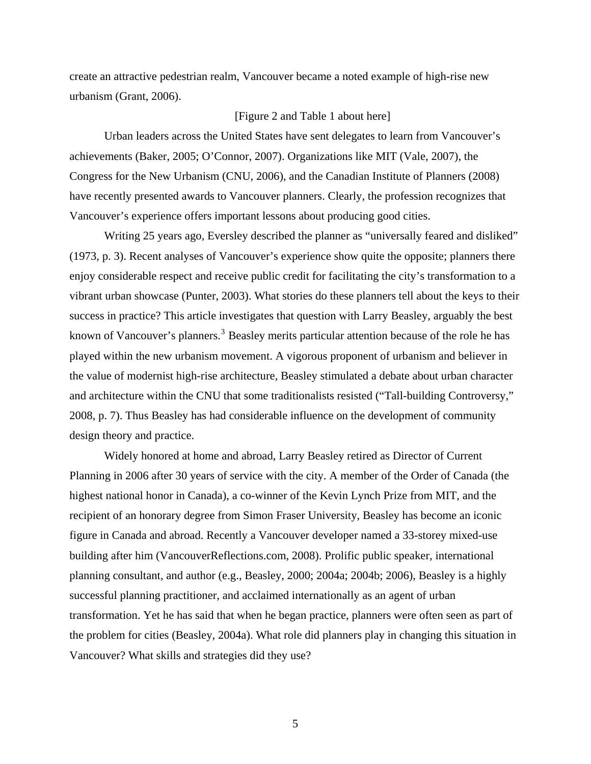create an attractive pedestrian realm, Vancouver became a noted example of high-rise new urbanism (Grant, 2006).

### [Figure 2 and Table 1 about here]

Urban leaders across the United States have sent delegates to learn from Vancouver's achievements (Baker, 2005; O'Connor, 2007). Organizations like MIT (Vale, 2007), the Congress for the New Urbanism (CNU, 2006), and the Canadian Institute of Planners (2008) have recently presented awards to Vancouver planners. Clearly, the profession recognizes that Vancouver's experience offers important lessons about producing good cities.

Writing 25 years ago, Eversley described the planner as "universally feared and disliked" (1973, p. 3). Recent analyses of Vancouver's experience show quite the opposite; planners there enjoy considerable respect and receive public credit for facilitating the city's transformation to a vibrant urban showcase (Punter, 2003). What stories do these planners tell about the keys to their success in practice? This article investigates that question with Larry Beasley, arguably the best known of Vancouver's planners.<sup>[3](#page-25-1)</sup> Beasley merits particular attention because of the role he has played within the new urbanism movement. A vigorous proponent of urbanism and believer in the value of modernist high-rise architecture, Beasley stimulated a debate about urban character and architecture within the CNU that some traditionalists resisted ("Tall-building Controversy," 2008, p. 7). Thus Beasley has had considerable influence on the development of community design theory and practice.

Widely honored at home and abroad, Larry Beasley retired as Director of Current Planning in 2006 after 30 years of service with the city. A member of the Order of Canada (the highest national honor in Canada), a co-winner of the Kevin Lynch Prize from MIT, and the recipient of an honorary degree from Simon Fraser University, Beasley has become an iconic figure in Canada and abroad. Recently a Vancouver developer named a 33-storey mixed-use building after him (VancouverReflections.com, 2008). Prolific public speaker, international planning consultant, and author (e.g., Beasley, 2000; 2004a; 2004b; 2006), Beasley is a highly successful planning practitioner, and acclaimed internationally as an agent of urban transformation. Yet he has said that when he began practice, planners were often seen as part of the problem for cities (Beasley, 2004a). What role did planners play in changing this situation in Vancouver? What skills and strategies did they use?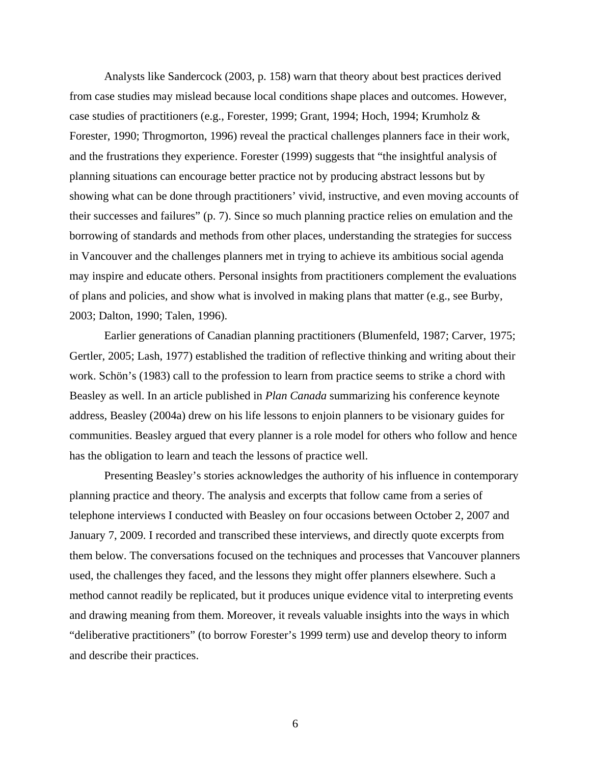Analysts like Sandercock (2003, p. 158) warn that theory about best practices derived from case studies may mislead because local conditions shape places and outcomes. However, case studies of practitioners (e.g., Forester, 1999; Grant, 1994; Hoch, 1994; Krumholz & Forester, 1990; Throgmorton, 1996) reveal the practical challenges planners face in their work, and the frustrations they experience. Forester (1999) suggests that "the insightful analysis of planning situations can encourage better practice not by producing abstract lessons but by showing what can be done through practitioners' vivid, instructive, and even moving accounts of their successes and failures" (p. 7). Since so much planning practice relies on emulation and the borrowing of standards and methods from other places, understanding the strategies for success in Vancouver and the challenges planners met in trying to achieve its ambitious social agenda may inspire and educate others. Personal insights from practitioners complement the evaluations of plans and policies, and show what is involved in making plans that matter (e.g., see Burby, 2003; Dalton, 1990; Talen, 1996).

Earlier generations of Canadian planning practitioners (Blumenfeld, 1987; Carver, 1975; Gertler, 2005; Lash, 1977) established the tradition of reflective thinking and writing about their work. Schön's (1983) call to the profession to learn from practice seems to strike a chord with Beasley as well. In an article published in *Plan Canada* summarizing his conference keynote address*,* Beasley (2004a) drew on his life lessons to enjoin planners to be visionary guides for communities. Beasley argued that every planner is a role model for others who follow and hence has the obligation to learn and teach the lessons of practice well.

Presenting Beasley's stories acknowledges the authority of his influence in contemporary planning practice and theory. The analysis and excerpts that follow came from a series of telephone interviews I conducted with Beasley on four occasions between October 2, 2007 and January 7, 2009. I recorded and transcribed these interviews, and directly quote excerpts from them below. The conversations focused on the techniques and processes that Vancouver planners used, the challenges they faced, and the lessons they might offer planners elsewhere. Such a method cannot readily be replicated, but it produces unique evidence vital to interpreting events and drawing meaning from them. Moreover, it reveals valuable insights into the ways in which "deliberative practitioners" (to borrow Forester's 1999 term) use and develop theory to inform and describe their practices.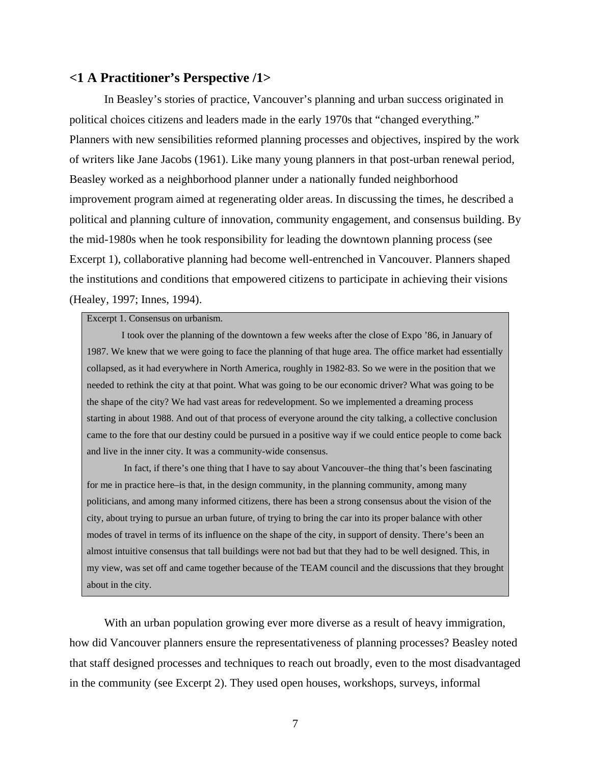# **<1 A Practitioner's Perspective /1>**

In Beasley's stories of practice, Vancouver's planning and urban success originated in political choices citizens and leaders made in the early 1970s that "changed everything." Planners with new sensibilities reformed planning processes and objectives, inspired by the work of writers like Jane Jacobs (1961). Like many young planners in that post-urban renewal period, Beasley worked as a neighborhood planner under a nationally funded neighborhood improvement program aimed at regenerating older areas. In discussing the times, he described a political and planning culture of innovation, community engagement, and consensus building. By the mid-1980s when he took responsibility for leading the downtown planning process (see Excerpt 1), collaborative planning had become well-entrenched in Vancouver. Planners shaped the institutions and conditions that empowered citizens to participate in achieving their visions (Healey, 1997; Innes, 1994).

Excerpt 1. Consensus on urbanism.

I took over the planning of the downtown a few weeks after the close of Expo '86, in January of 1987. We knew that we were going to face the planning of that huge area. The office market had essentially collapsed, as it had everywhere in North America, roughly in 1982-83. So we were in the position that we needed to rethink the city at that point. What was going to be our economic driver? What was going to be the shape of the city? We had vast areas for redevelopment. So we implemented a dreaming process starting in about 1988. And out of that process of everyone around the city talking, a collective conclusion came to the fore that our destiny could be pursued in a positive way if we could entice people to come back and live in the inner city. It was a community-wide consensus.

 In fact, if there's one thing that I have to say about Vancouver–the thing that's been fascinating for me in practice here–is that, in the design community, in the planning community, among many politicians, and among many informed citizens, there has been a strong consensus about the vision of the city, about trying to pursue an urban future, of trying to bring the car into its proper balance with other modes of travel in terms of its influence on the shape of the city, in support of density. There's been an almost intuitive consensus that tall buildings were not bad but that they had to be well designed. This, in my view, was set off and came together because of the TEAM council and the discussions that they brought about in the city.

With an urban population growing ever more diverse as a result of heavy immigration, how did Vancouver planners ensure the representativeness of planning processes? Beasley noted that staff designed processes and techniques to reach out broadly, even to the most disadvantaged in the community (see Excerpt 2). They used open houses, workshops, surveys, informal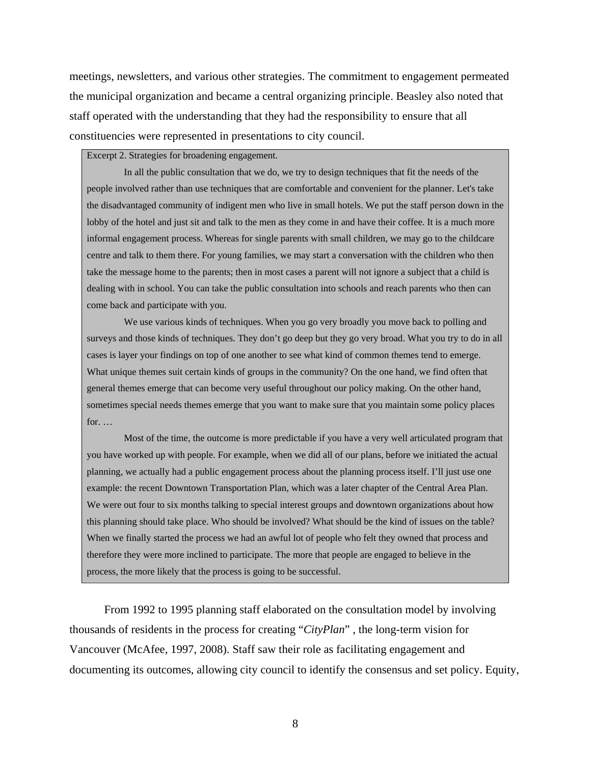meetings, newsletters, and various other strategies. The commitment to engagement permeated the municipal organization and became a central organizing principle. Beasley also noted that staff operated with the understanding that they had the responsibility to ensure that all constituencies were represented in presentations to city council.

#### Excerpt 2. Strategies for broadening engagement.

 In all the public consultation that we do, we try to design techniques that fit the needs of the people involved rather than use techniques that are comfortable and convenient for the planner. Let's take the disadvantaged community of indigent men who live in small hotels. We put the staff person down in the lobby of the hotel and just sit and talk to the men as they come in and have their coffee. It is a much more informal engagement process. Whereas for single parents with small children, we may go to the childcare centre and talk to them there. For young families, we may start a conversation with the children who then take the message home to the parents; then in most cases a parent will not ignore a subject that a child is dealing with in school. You can take the public consultation into schools and reach parents who then can come back and participate with you.

 We use various kinds of techniques. When you go very broadly you move back to polling and surveys and those kinds of techniques. They don't go deep but they go very broad. What you try to do in all cases is layer your findings on top of one another to see what kind of common themes tend to emerge. What unique themes suit certain kinds of groups in the community? On the one hand, we find often that general themes emerge that can become very useful throughout our policy making. On the other hand, sometimes special needs themes emerge that you want to make sure that you maintain some policy places for. …

 Most of the time, the outcome is more predictable if you have a very well articulated program that you have worked up with people. For example, when we did all of our plans, before we initiated the actual planning, we actually had a public engagement process about the planning process itself. I'll just use one example: the recent Downtown Transportation Plan, which was a later chapter of the Central Area Plan. We were out four to six months talking to special interest groups and downtown organizations about how this planning should take place. Who should be involved? What should be the kind of issues on the table? When we finally started the process we had an awful lot of people who felt they owned that process and therefore they were more inclined to participate. The more that people are engaged to believe in the process, the more likely that the process is going to be successful.

From 1992 to 1995 planning staff elaborated on the consultation model by involving thousands of residents in the process for creating "*CityPlan*" , the long-term vision for Vancouver (McAfee, 1997, 2008). Staff saw their role as facilitating engagement and documenting its outcomes, allowing city council to identify the consensus and set policy. Equity,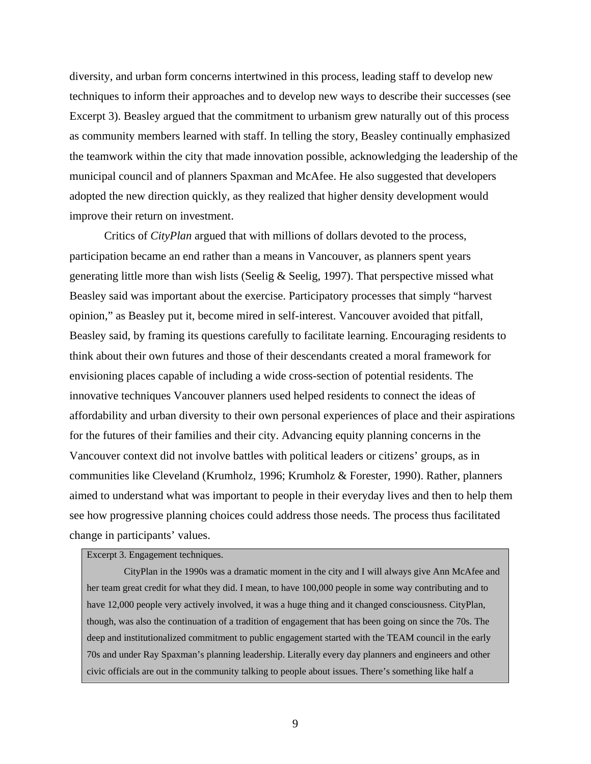diversity, and urban form concerns intertwined in this process, leading staff to develop new techniques to inform their approaches and to develop new ways to describe their successes (see Excerpt 3). Beasley argued that the commitment to urbanism grew naturally out of this process as community members learned with staff. In telling the story, Beasley continually emphasized the teamwork within the city that made innovation possible, acknowledging the leadership of the municipal council and of planners Spaxman and McAfee. He also suggested that developers adopted the new direction quickly, as they realized that higher density development would improve their return on investment.

Critics of *CityPlan* argued that with millions of dollars devoted to the process, participation became an end rather than a means in Vancouver, as planners spent years generating little more than wish lists (Seelig & Seelig, 1997). That perspective missed what Beasley said was important about the exercise. Participatory processes that simply "harvest opinion," as Beasley put it, become mired in self-interest. Vancouver avoided that pitfall, Beasley said, by framing its questions carefully to facilitate learning. Encouraging residents to think about their own futures and those of their descendants created a moral framework for envisioning places capable of including a wide cross-section of potential residents. The innovative techniques Vancouver planners used helped residents to connect the ideas of affordability and urban diversity to their own personal experiences of place and their aspirations for the futures of their families and their city. Advancing equity planning concerns in the Vancouver context did not involve battles with political leaders or citizens' groups, as in communities like Cleveland (Krumholz, 1996; Krumholz & Forester, 1990). Rather, planners aimed to understand what was important to people in their everyday lives and then to help them see how progressive planning choices could address those needs. The process thus facilitated change in participants' values.

Excerpt 3. Engagement techniques.

 CityPlan in the 1990s was a dramatic moment in the city and I will always give Ann McAfee and her team great credit for what they did. I mean, to have 100,000 people in some way contributing and to have 12,000 people very actively involved, it was a huge thing and it changed consciousness. CityPlan, though, was also the continuation of a tradition of engagement that has been going on since the 70s. The deep and institutionalized commitment to public engagement started with the TEAM council in the early 70s and under Ray Spaxman's planning leadership. Literally every day planners and engineers and other civic officials are out in the community talking to people about issues. There's something like half a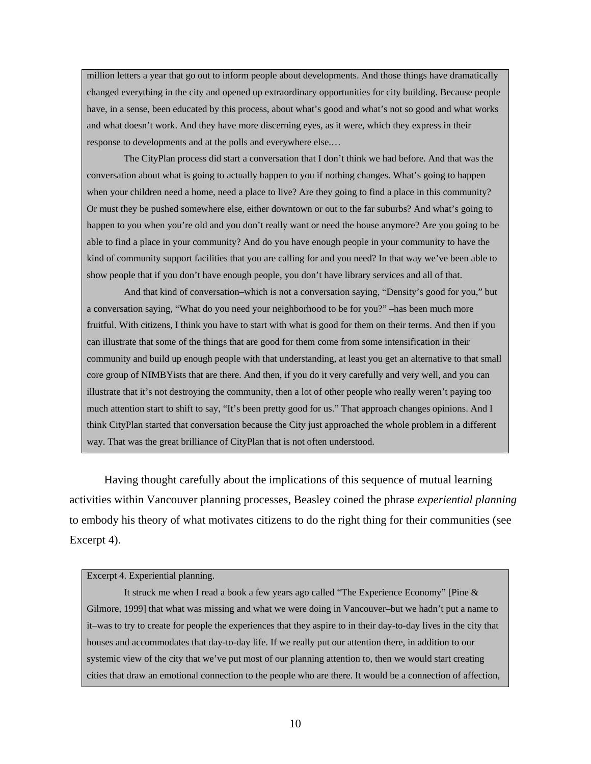million letters a year that go out to inform people about developments. And those things have dramatically changed everything in the city and opened up extraordinary opportunities for city building. Because people have, in a sense, been educated by this process, about what's good and what's not so good and what works and what doesn't work. And they have more discerning eyes, as it were, which they express in their response to developments and at the polls and everywhere else.…

 The CityPlan process did start a conversation that I don't think we had before. And that was the conversation about what is going to actually happen to you if nothing changes. What's going to happen when your children need a home, need a place to live? Are they going to find a place in this community? Or must they be pushed somewhere else, either downtown or out to the far suburbs? And what's going to happen to you when you're old and you don't really want or need the house anymore? Are you going to be able to find a place in your community? And do you have enough people in your community to have the kind of community support facilities that you are calling for and you need? In that way we've been able to show people that if you don't have enough people, you don't have library services and all of that.

 And that kind of conversation–which is not a conversation saying, "Density's good for you," but a conversation saying, "What do you need your neighborhood to be for you?" –has been much more fruitful. With citizens, I think you have to start with what is good for them on their terms. And then if you can illustrate that some of the things that are good for them come from some intensification in their community and build up enough people with that understanding, at least you get an alternative to that small core group of NIMBYists that are there. And then, if you do it very carefully and very well, and you can illustrate that it's not destroying the community, then a lot of other people who really weren't paying too much attention start to shift to say, "It's been pretty good for us." That approach changes opinions. And I think CityPlan started that conversation because the City just approached the whole problem in a different way. That was the great brilliance of CityPlan that is not often understood.

Having thought carefully about the implications of this sequence of mutual learning activities within Vancouver planning processes, Beasley coined the phrase *experiential planning* to embody his theory of what motivates citizens to do the right thing for their communities (see Excerpt 4).

#### Excerpt 4. Experiential planning.

 It struck me when I read a book a few years ago called "The Experience Economy" [Pine & Gilmore, 1999] that what was missing and what we were doing in Vancouver–but we hadn't put a name to it–was to try to create for people the experiences that they aspire to in their day-to-day lives in the city that houses and accommodates that day-to-day life. If we really put our attention there, in addition to our systemic view of the city that we've put most of our planning attention to, then we would start creating cities that draw an emotional connection to the people who are there. It would be a connection of affection,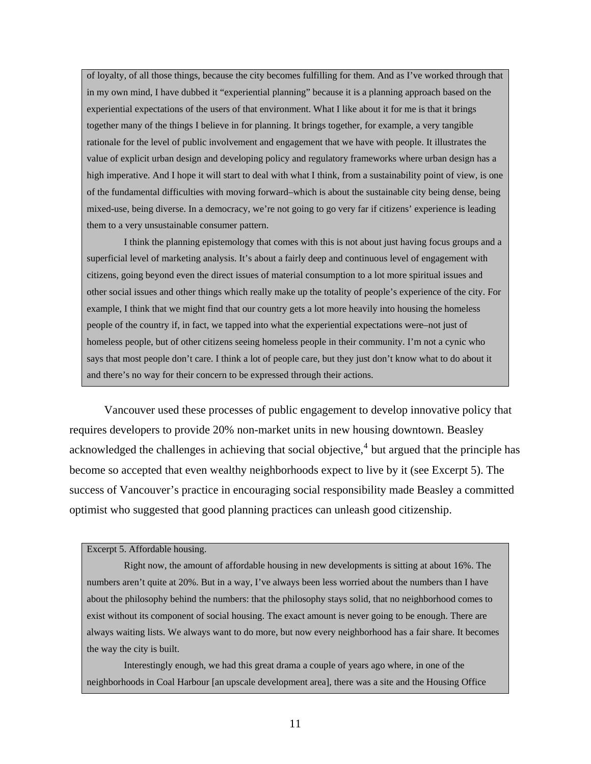of loyalty, of all those things, because the city becomes fulfilling for them. And as I've worked through that in my own mind, I have dubbed it "experiential planning" because it is a planning approach based on the experiential expectations of the users of that environment. What I like about it for me is that it brings together many of the things I believe in for planning. It brings together, for example, a very tangible rationale for the level of public involvement and engagement that we have with people. It illustrates the value of explicit urban design and developing policy and regulatory frameworks where urban design has a high imperative. And I hope it will start to deal with what I think, from a sustainability point of view, is one of the fundamental difficulties with moving forward–which is about the sustainable city being dense, being mixed-use, being diverse. In a democracy, we're not going to go very far if citizens' experience is leading them to a very unsustainable consumer pattern.

 I think the planning epistemology that comes with this is not about just having focus groups and a superficial level of marketing analysis. It's about a fairly deep and continuous level of engagement with citizens, going beyond even the direct issues of material consumption to a lot more spiritual issues and other social issues and other things which really make up the totality of people's experience of the city. For example, I think that we might find that our country gets a lot more heavily into housing the homeless people of the country if, in fact, we tapped into what the experiential expectations were–not just of homeless people, but of other citizens seeing homeless people in their community. I'm not a cynic who says that most people don't care. I think a lot of people care, but they just don't know what to do about it and there's no way for their concern to be expressed through their actions.

Vancouver used these processes of public engagement to develop innovative policy that requires developers to provide 20% non-market units in new housing downtown. Beasley acknowledged the challenges in achieving that social objective,<sup>[4](#page-25-1)</sup> but argued that the principle has become so accepted that even wealthy neighborhoods expect to live by it (see Excerpt 5). The success of Vancouver's practice in encouraging social responsibility made Beasley a committed optimist who suggested that good planning practices can unleash good citizenship.

#### Excerpt 5. Affordable housing.

 Right now, the amount of affordable housing in new developments is sitting at about 16%. The numbers aren't quite at 20%. But in a way, I've always been less worried about the numbers than I have about the philosophy behind the numbers: that the philosophy stays solid, that no neighborhood comes to exist without its component of social housing. The exact amount is never going to be enough. There are always waiting lists. We always want to do more, but now every neighborhood has a fair share. It becomes the way the city is built.

 Interestingly enough, we had this great drama a couple of years ago where, in one of the neighborhoods in Coal Harbour [an upscale development area], there was a site and the Housing Office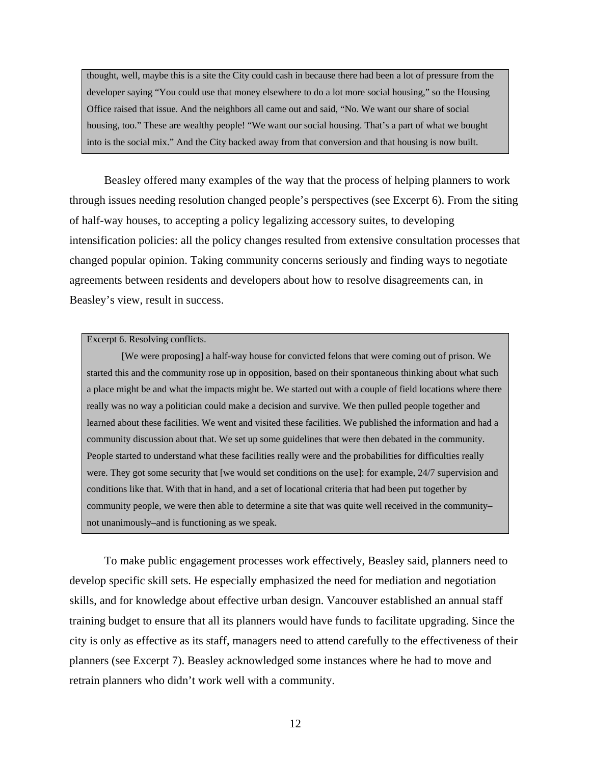thought, well, maybe this is a site the City could cash in because there had been a lot of pressure from the developer saying "You could use that money elsewhere to do a lot more social housing," so the Housing Office raised that issue. And the neighbors all came out and said, "No. We want our share of social housing, too." These are wealthy people! "We want our social housing. That's a part of what we bought into is the social mix." And the City backed away from that conversion and that housing is now built.

Beasley offered many examples of the way that the process of helping planners to work through issues needing resolution changed people's perspectives (see Excerpt 6). From the siting of half-way houses, to accepting a policy legalizing accessory suites, to developing intensification policies: all the policy changes resulted from extensive consultation processes that changed popular opinion. Taking community concerns seriously and finding ways to negotiate agreements between residents and developers about how to resolve disagreements can, in Beasley's view, result in success.

#### Excerpt 6. Resolving conflicts.

[We were proposing] a half-way house for convicted felons that were coming out of prison. We started this and the community rose up in opposition, based on their spontaneous thinking about what such a place might be and what the impacts might be. We started out with a couple of field locations where there really was no way a politician could make a decision and survive. We then pulled people together and learned about these facilities. We went and visited these facilities. We published the information and had a community discussion about that. We set up some guidelines that were then debated in the community. People started to understand what these facilities really were and the probabilities for difficulties really were. They got some security that [we would set conditions on the use]: for example, 24/7 supervision and conditions like that. With that in hand, and a set of locational criteria that had been put together by community people, we were then able to determine a site that was quite well received in the community– not unanimously–and is functioning as we speak.

To make public engagement processes work effectively, Beasley said, planners need to develop specific skill sets. He especially emphasized the need for mediation and negotiation skills, and for knowledge about effective urban design. Vancouver established an annual staff training budget to ensure that all its planners would have funds to facilitate upgrading. Since the city is only as effective as its staff, managers need to attend carefully to the effectiveness of their planners (see Excerpt 7). Beasley acknowledged some instances where he had to move and retrain planners who didn't work well with a community.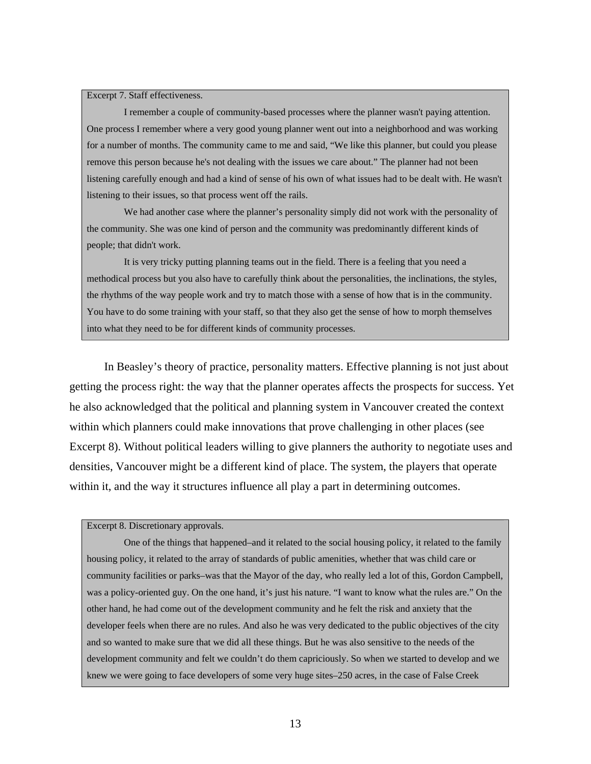#### Excerpt 7. Staff effectiveness.

 I remember a couple of community-based processes where the planner wasn't paying attention. One process I remember where a very good young planner went out into a neighborhood and was working for a number of months. The community came to me and said, "We like this planner, but could you please remove this person because he's not dealing with the issues we care about." The planner had not been listening carefully enough and had a kind of sense of his own of what issues had to be dealt with. He wasn't listening to their issues, so that process went off the rails.

 We had another case where the planner's personality simply did not work with the personality of the community. She was one kind of person and the community was predominantly different kinds of people; that didn't work.

 It is very tricky putting planning teams out in the field. There is a feeling that you need a methodical process but you also have to carefully think about the personalities, the inclinations, the styles, the rhythms of the way people work and try to match those with a sense of how that is in the community. You have to do some training with your staff, so that they also get the sense of how to morph themselves into what they need to be for different kinds of community processes.

In Beasley's theory of practice, personality matters. Effective planning is not just about getting the process right: the way that the planner operates affects the prospects for success. Yet he also acknowledged that the political and planning system in Vancouver created the context within which planners could make innovations that prove challenging in other places (see Excerpt 8). Without political leaders willing to give planners the authority to negotiate uses and densities, Vancouver might be a different kind of place. The system, the players that operate within it, and the way it structures influence all play a part in determining outcomes.

#### Excerpt 8. Discretionary approvals.

 One of the things that happened–and it related to the social housing policy, it related to the family housing policy, it related to the array of standards of public amenities, whether that was child care or community facilities or parks–was that the Mayor of the day, who really led a lot of this, Gordon Campbell, was a policy-oriented guy. On the one hand, it's just his nature. "I want to know what the rules are." On the other hand, he had come out of the development community and he felt the risk and anxiety that the developer feels when there are no rules. And also he was very dedicated to the public objectives of the city and so wanted to make sure that we did all these things. But he was also sensitive to the needs of the development community and felt we couldn't do them capriciously. So when we started to develop and we knew we were going to face developers of some very huge sites–250 acres, in the case of False Creek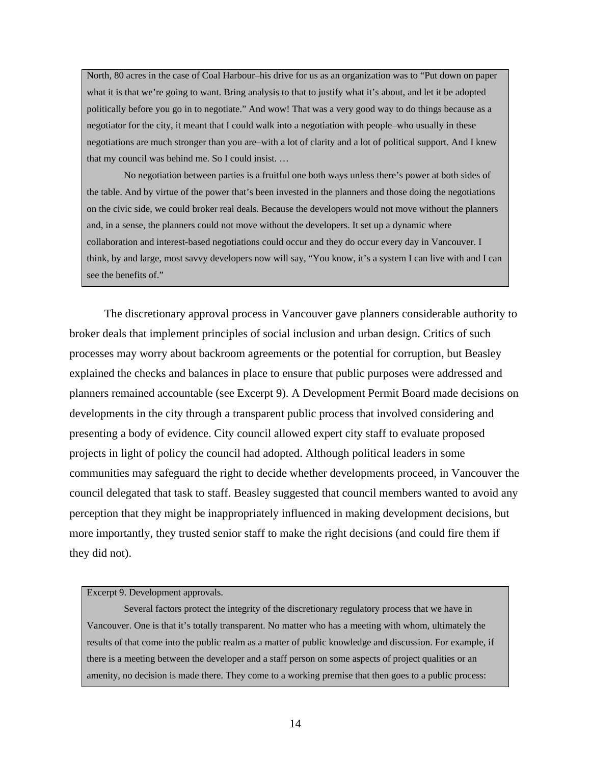North, 80 acres in the case of Coal Harbour–his drive for us as an organization was to "Put down on paper what it is that we're going to want. Bring analysis to that to justify what it's about, and let it be adopted politically before you go in to negotiate." And wow! That was a very good way to do things because as a negotiator for the city, it meant that I could walk into a negotiation with people–who usually in these negotiations are much stronger than you are–with a lot of clarity and a lot of political support. And I knew that my council was behind me. So I could insist. …

 No negotiation between parties is a fruitful one both ways unless there's power at both sides of the table. And by virtue of the power that's been invested in the planners and those doing the negotiations on the civic side, we could broker real deals. Because the developers would not move without the planners and, in a sense, the planners could not move without the developers. It set up a dynamic where collaboration and interest-based negotiations could occur and they do occur every day in Vancouver. I think, by and large, most savvy developers now will say, "You know, it's a system I can live with and I can see the benefits of."

The discretionary approval process in Vancouver gave planners considerable authority to broker deals that implement principles of social inclusion and urban design. Critics of such processes may worry about backroom agreements or the potential for corruption, but Beasley explained the checks and balances in place to ensure that public purposes were addressed and planners remained accountable (see Excerpt 9). A Development Permit Board made decisions on developments in the city through a transparent public process that involved considering and presenting a body of evidence. City council allowed expert city staff to evaluate proposed projects in light of policy the council had adopted. Although political leaders in some communities may safeguard the right to decide whether developments proceed, in Vancouver the council delegated that task to staff. Beasley suggested that council members wanted to avoid any perception that they might be inappropriately influenced in making development decisions, but more importantly, they trusted senior staff to make the right decisions (and could fire them if they did not).

#### Excerpt 9. Development approvals.

 Several factors protect the integrity of the discretionary regulatory process that we have in Vancouver. One is that it's totally transparent. No matter who has a meeting with whom, ultimately the results of that come into the public realm as a matter of public knowledge and discussion. For example, if there is a meeting between the developer and a staff person on some aspects of project qualities or an amenity, no decision is made there. They come to a working premise that then goes to a public process: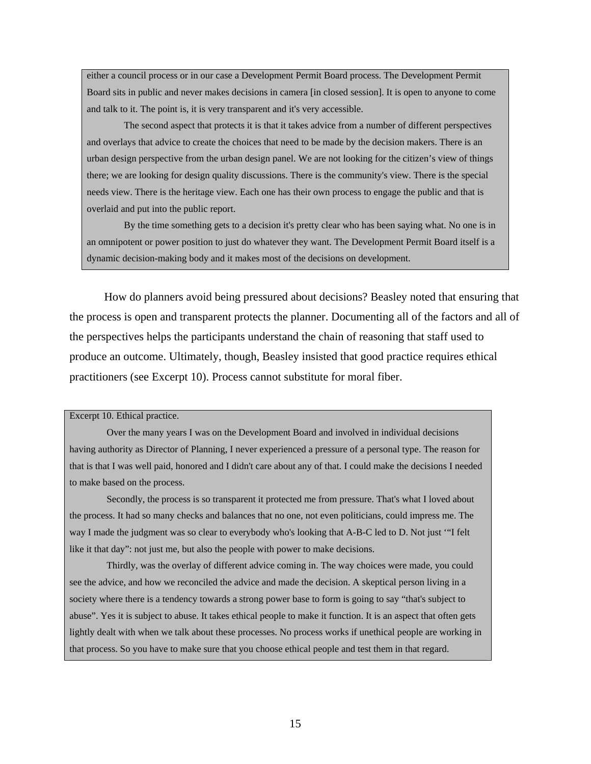either a council process or in our case a Development Permit Board process. The Development Permit Board sits in public and never makes decisions in camera [in closed session]. It is open to anyone to come and talk to it. The point is, it is very transparent and it's very accessible.

 The second aspect that protects it is that it takes advice from a number of different perspectives and overlays that advice to create the choices that need to be made by the decision makers. There is an urban design perspective from the urban design panel. We are not looking for the citizen's view of things there; we are looking for design quality discussions. There is the community's view. There is the special needs view. There is the heritage view. Each one has their own process to engage the public and that is overlaid and put into the public report.

 By the time something gets to a decision it's pretty clear who has been saying what. No one is in an omnipotent or power position to just do whatever they want. The Development Permit Board itself is a dynamic decision-making body and it makes most of the decisions on development.

How do planners avoid being pressured about decisions? Beasley noted that ensuring that the process is open and transparent protects the planner. Documenting all of the factors and all of the perspectives helps the participants understand the chain of reasoning that staff used to produce an outcome. Ultimately, though, Beasley insisted that good practice requires ethical practitioners (see Excerpt 10). Process cannot substitute for moral fiber.

Excerpt 10. Ethical practice.

 Over the many years I was on the Development Board and involved in individual decisions having authority as Director of Planning, I never experienced a pressure of a personal type. The reason for that is that I was well paid, honored and I didn't care about any of that. I could make the decisions I needed to make based on the process.

 Secondly, the process is so transparent it protected me from pressure. That's what I loved about the process. It had so many checks and balances that no one, not even politicians, could impress me. The way I made the judgment was so clear to everybody who's looking that A-B-C led to D. Not just '"I felt like it that day": not just me, but also the people with power to make decisions.

 Thirdly, was the overlay of different advice coming in. The way choices were made, you could see the advice, and how we reconciled the advice and made the decision. A skeptical person living in a society where there is a tendency towards a strong power base to form is going to say "that's subject to abuse". Yes it is subject to abuse. It takes ethical people to make it function. It is an aspect that often gets lightly dealt with when we talk about these processes. No process works if unethical people are working in that process. So you have to make sure that you choose ethical people and test them in that regard.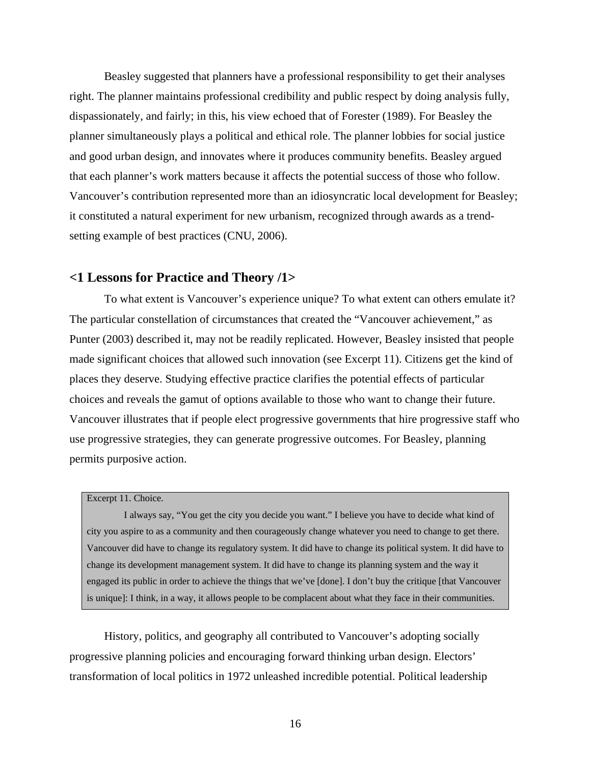Beasley suggested that planners have a professional responsibility to get their analyses right. The planner maintains professional credibility and public respect by doing analysis fully, dispassionately, and fairly; in this, his view echoed that of Forester (1989). For Beasley the planner simultaneously plays a political and ethical role. The planner lobbies for social justice and good urban design, and innovates where it produces community benefits. Beasley argued that each planner's work matters because it affects the potential success of those who follow. Vancouver's contribution represented more than an idiosyncratic local development for Beasley; it constituted a natural experiment for new urbanism, recognized through awards as a trendsetting example of best practices (CNU, 2006).

# **<1 Lessons for Practice and Theory /1>**

To what extent is Vancouver's experience unique? To what extent can others emulate it? The particular constellation of circumstances that created the "Vancouver achievement," as Punter (2003) described it, may not be readily replicated. However, Beasley insisted that people made significant choices that allowed such innovation (see Excerpt 11). Citizens get the kind of places they deserve. Studying effective practice clarifies the potential effects of particular choices and reveals the gamut of options available to those who want to change their future. Vancouver illustrates that if people elect progressive governments that hire progressive staff who use progressive strategies, they can generate progressive outcomes. For Beasley, planning permits purposive action.

#### Excerpt 11. Choice.

 I always say, "You get the city you decide you want." I believe you have to decide what kind of city you aspire to as a community and then courageously change whatever you need to change to get there. Vancouver did have to change its regulatory system. It did have to change its political system. It did have to change its development management system. It did have to change its planning system and the way it engaged its public in order to achieve the things that we've [done]. I don't buy the critique [that Vancouver is unique]: I think, in a way, it allows people to be complacent about what they face in their communities.

History, politics, and geography all contributed to Vancouver's adopting socially progressive planning policies and encouraging forward thinking urban design. Electors' transformation of local politics in 1972 unleashed incredible potential. Political leadership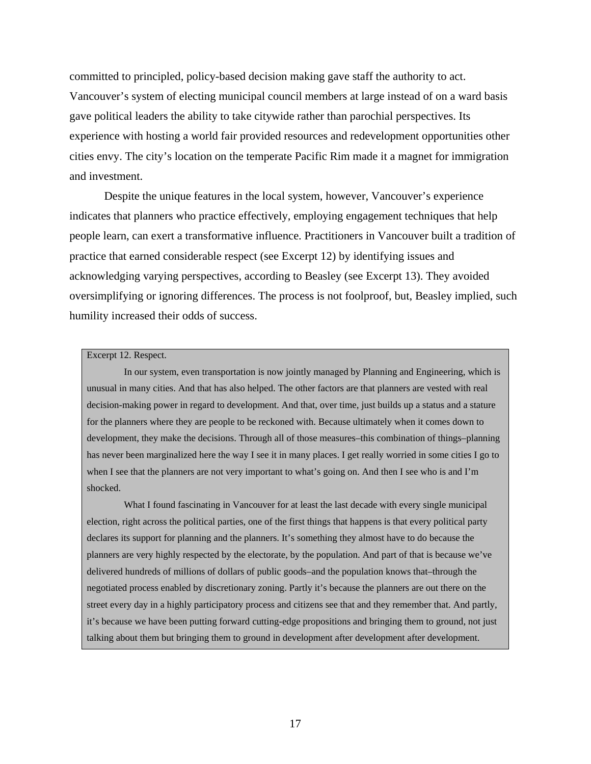committed to principled, policy-based decision making gave staff the authority to act. Vancouver's system of electing municipal council members at large instead of on a ward basis gave political leaders the ability to take citywide rather than parochial perspectives. Its experience with hosting a world fair provided resources and redevelopment opportunities other cities envy. The city's location on the temperate Pacific Rim made it a magnet for immigration and investment.

Despite the unique features in the local system, however, Vancouver's experience indicates that planners who practice effectively, employing engagement techniques that help people learn, can exert a transformative influence. Practitioners in Vancouver built a tradition of practice that earned considerable respect (see Excerpt 12) by identifying issues and acknowledging varying perspectives, according to Beasley (see Excerpt 13). They avoided oversimplifying or ignoring differences. The process is not foolproof, but, Beasley implied, such humility increased their odds of success.

#### Excerpt 12. Respect.

 In our system, even transportation is now jointly managed by Planning and Engineering, which is unusual in many cities. And that has also helped. The other factors are that planners are vested with real decision-making power in regard to development. And that, over time, just builds up a status and a stature for the planners where they are people to be reckoned with. Because ultimately when it comes down to development, they make the decisions. Through all of those measures–this combination of things–planning has never been marginalized here the way I see it in many places. I get really worried in some cities I go to when I see that the planners are not very important to what's going on. And then I see who is and I'm shocked.

 What I found fascinating in Vancouver for at least the last decade with every single municipal election, right across the political parties, one of the first things that happens is that every political party declares its support for planning and the planners. It's something they almost have to do because the planners are very highly respected by the electorate, by the population. And part of that is because we've delivered hundreds of millions of dollars of public goods–and the population knows that–through the negotiated process enabled by discretionary zoning. Partly it's because the planners are out there on the street every day in a highly participatory process and citizens see that and they remember that. And partly, it's because we have been putting forward cutting-edge propositions and bringing them to ground, not just talking about them but bringing them to ground in development after development after development.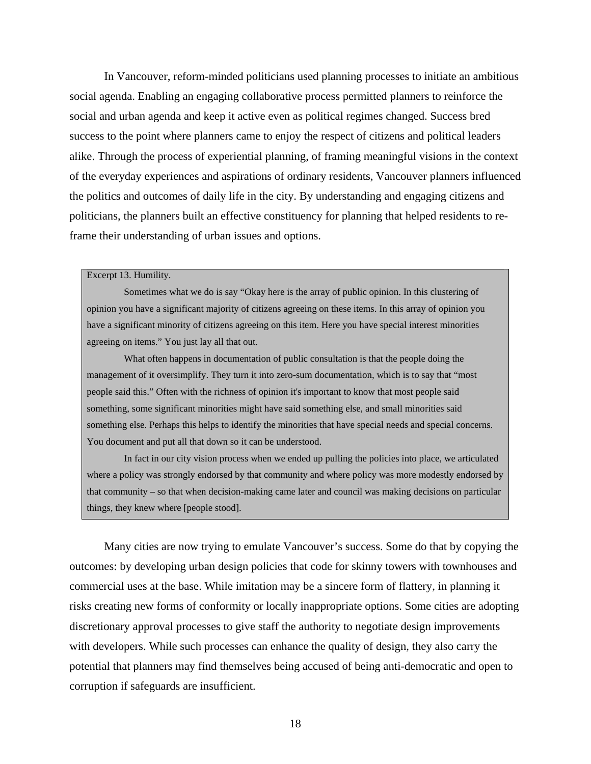In Vancouver, reform-minded politicians used planning processes to initiate an ambitious social agenda. Enabling an engaging collaborative process permitted planners to reinforce the social and urban agenda and keep it active even as political regimes changed. Success bred success to the point where planners came to enjoy the respect of citizens and political leaders alike. Through the process of experiential planning, of framing meaningful visions in the context of the everyday experiences and aspirations of ordinary residents, Vancouver planners influenced the politics and outcomes of daily life in the city. By understanding and engaging citizens and politicians, the planners built an effective constituency for planning that helped residents to reframe their understanding of urban issues and options.

Excerpt 13. Humility.

 Sometimes what we do is say "Okay here is the array of public opinion. In this clustering of opinion you have a significant majority of citizens agreeing on these items. In this array of opinion you have a significant minority of citizens agreeing on this item. Here you have special interest minorities agreeing on items." You just lay all that out.

 What often happens in documentation of public consultation is that the people doing the management of it oversimplify. They turn it into zero-sum documentation, which is to say that "most people said this." Often with the richness of opinion it's important to know that most people said something, some significant minorities might have said something else, and small minorities said something else. Perhaps this helps to identify the minorities that have special needs and special concerns. You document and put all that down so it can be understood.

 In fact in our city vision process when we ended up pulling the policies into place, we articulated where a policy was strongly endorsed by that community and where policy was more modestly endorsed by that community – so that when decision-making came later and council was making decisions on particular things, they knew where [people stood].

Many cities are now trying to emulate Vancouver's success. Some do that by copying the outcomes: by developing urban design policies that code for skinny towers with townhouses and commercial uses at the base. While imitation may be a sincere form of flattery, in planning it risks creating new forms of conformity or locally inappropriate options. Some cities are adopting discretionary approval processes to give staff the authority to negotiate design improvements with developers. While such processes can enhance the quality of design, they also carry the potential that planners may find themselves being accused of being anti-democratic and open to corruption if safeguards are insufficient.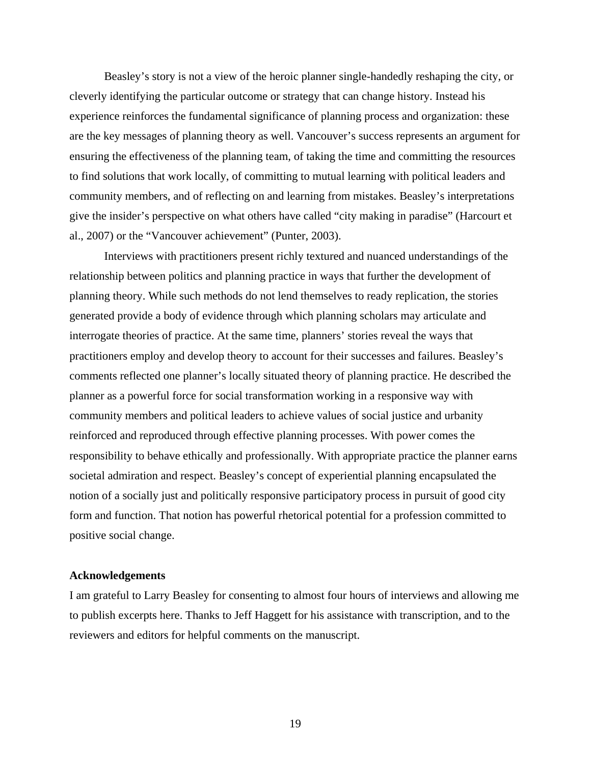Beasley's story is not a view of the heroic planner single-handedly reshaping the city, or cleverly identifying the particular outcome or strategy that can change history. Instead his experience reinforces the fundamental significance of planning process and organization: these are the key messages of planning theory as well. Vancouver's success represents an argument for ensuring the effectiveness of the planning team, of taking the time and committing the resources to find solutions that work locally, of committing to mutual learning with political leaders and community members, and of reflecting on and learning from mistakes. Beasley's interpretations give the insider's perspective on what others have called "city making in paradise" (Harcourt et al., 2007) or the "Vancouver achievement" (Punter, 2003).

Interviews with practitioners present richly textured and nuanced understandings of the relationship between politics and planning practice in ways that further the development of planning theory. While such methods do not lend themselves to ready replication, the stories generated provide a body of evidence through which planning scholars may articulate and interrogate theories of practice. At the same time, planners' stories reveal the ways that practitioners employ and develop theory to account for their successes and failures. Beasley's comments reflected one planner's locally situated theory of planning practice. He described the planner as a powerful force for social transformation working in a responsive way with community members and political leaders to achieve values of social justice and urbanity reinforced and reproduced through effective planning processes. With power comes the responsibility to behave ethically and professionally. With appropriate practice the planner earns societal admiration and respect. Beasley's concept of experiential planning encapsulated the notion of a socially just and politically responsive participatory process in pursuit of good city form and function. That notion has powerful rhetorical potential for a profession committed to positive social change.

#### **Acknowledgements**

I am grateful to Larry Beasley for consenting to almost four hours of interviews and allowing me to publish excerpts here. Thanks to Jeff Haggett for his assistance with transcription, and to the reviewers and editors for helpful comments on the manuscript.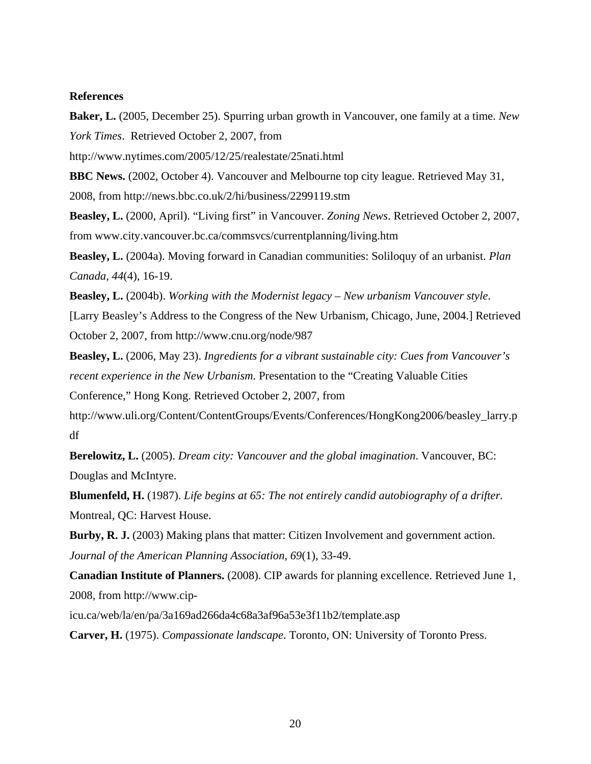#### **References**

**Baker, L.** (2005, December 25). Spurring urban growth in Vancouver, one family at a time. *New York Times*. Retrieved October 2, 2007, from

http://www.nytimes.com/2005/12/25/realestate/25nati.html

**BBC News.** (2002, October 4). Vancouver and Melbourne top city league. Retrieved May 31, 2008, from http://news.bbc.co.uk/2/hi/business/2299119.stm

**Beasley, L.** (2000, April). "Living first" in Vancouver. *Zoning News*. Retrieved October 2, 2007, from www.city.vancouver.bc.ca/commsvcs/currentplanning/living.htm

**Beasley, L.** (2004a). Moving forward in Canadian communities: Soliloquy of an urbanist. *Plan Canada, 44*(4), 16-19.

**Beasley, L.** (2004b). *Working with the Modernist legacy – New urbanism Vancouver style*.

[Larry Beasley's Address to the Congress of the New Urbanism, Chicago, June, 2004.] Retrieved October 2, 2007, from http://www.cnu.org/node/987

**Beasley, L.** (2006, May 23). *Ingredients for a vibrant sustainable city: Cues from Vancouver's recent experience in the New Urbanism*. Presentation to the "Creating Valuable Cities Conference," Hong Kong. Retrieved October 2, 2007, from

http://www.uli.org/Content/ContentGroups/Events/Conferences/HongKong2006/beasley\_larry.p df

**Berelowitz, L.** (2005). *Dream city: Vancouver and the global imagination*. Vancouver, BC: Douglas and McIntyre.

**Blumenfeld, H.** (1987). *Life begins at 65: The not entirely candid autobiography of a drifter.* Montreal, QC: Harvest House.

**Burby, R. J.** (2003) Making plans that matter: Citizen Involvement and government action. *Journal of the American Planning Association*, *69*(1), 33-49.

**Canadian Institute of Planners.** (2008). CIP awards for planning excellence. Retrieved June 1, 2008, from http://www.cip-

icu.ca/web/la/en/pa/3a169ad266da4c68a3af96a53e3f11b2/template.asp

**Carver, H.** (1975). *Compassionate landscape*. Toronto, ON: University of Toronto Press.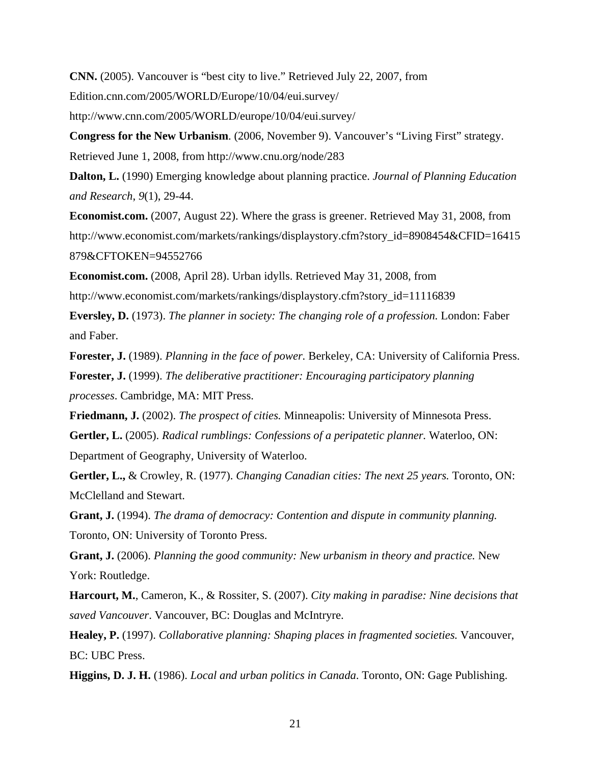**CNN.** (2005). Vancouver is "best city to live." Retrieved July 22, 2007, from

Edition.cnn.com/2005/WORLD/Europe/10/04/eui.survey/

http://www.cnn.com/2005/WORLD/europe/10/04/eui.survey/

**Congress for the New Urbanism**. (2006, November 9). Vancouver's "Living First" strategy. Retrieved June 1, 2008, from http://www.cnu.org/node/283

**Dalton, L.** (1990) Emerging knowledge about planning practice. *Journal of Planning Education and Research*, *9*(1), 29-44.

**Economist.com.** (2007, August 22). Where the grass is greener. Retrieved May 31, 2008, from http://www.economist.com/markets/rankings/displaystory.cfm?story\_id=8908454&CFID=16415 879&CFTOKEN=94552766

**Economist.com.** (2008, April 28). Urban idylls. Retrieved May 31, 2008, from

http://www.economist.com/markets/rankings/displaystory.cfm?story\_id=11116839

**Eversley, D.** (1973). *The planner in society: The changing role of a profession.* London: Faber and Faber.

**Forester, J.** (1989). *Planning in the face of power.* Berkeley, CA: University of California Press.

**Forester, J.** (1999). *The deliberative practitioner: Encouraging participatory planning processes*. Cambridge, MA: MIT Press.

**Friedmann, J.** (2002). *The prospect of cities.* Minneapolis: University of Minnesota Press. **Gertler, L.** (2005). *Radical rumblings: Confessions of a peripatetic planner.* Waterloo, ON: Department of Geography, University of Waterloo.

**Gertler, L.,** & Crowley, R. (1977). *Changing Canadian cities: The next 25 years.* Toronto, ON: McClelland and Stewart.

**Grant, J.** (1994). *The drama of democracy: Contention and dispute in community planning.* Toronto, ON: University of Toronto Press.

**Grant, J.** (2006). *Planning the good community: New urbanism in theory and practice.* New York: Routledge.

**Harcourt, M.**, Cameron, K., & Rossiter, S. (2007). *City making in paradise: Nine decisions that saved Vancouver*. Vancouver, BC: Douglas and McIntryre.

**Healey, P.** (1997). *Collaborative planning: Shaping places in fragmented societies.* Vancouver, BC: UBC Press.

**Higgins, D. J. H.** (1986). *Local and urban politics in Canada*. Toronto, ON: Gage Publishing.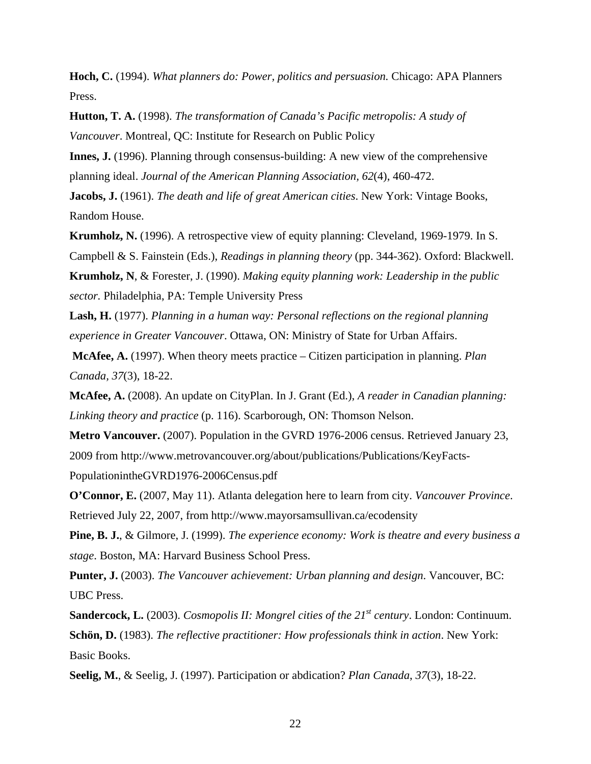**Hoch, C.** (1994). *What planners do: Power, politics and persuasion.* Chicago: APA Planners Press.

**Hutton, T. A.** (1998). *The transformation of Canada's Pacific metropolis: A study of Vancouver*. Montreal, QC: Institute for Research on Public Policy

**Innes, J.** (1996). Planning through consensus-building: A new view of the comprehensive planning ideal. *Journal of the American Planning Association, 62*(4), 460-472.

**Jacobs, J.** (1961). *The death and life of great American cities*. New York: Vintage Books, Random House.

**Krumholz, N.** (1996). A retrospective view of equity planning: Cleveland, 1969-1979. In S. Campbell & S. Fainstein (Eds.), *Readings in planning theory* (pp. 344-362). Oxford: Blackwell.

**Krumholz, N**, & Forester, J. (1990). *Making equity planning work: Leadership in the public sector.* Philadelphia, PA: Temple University Press

**Lash, H.** (1977). *Planning in a human way: Personal reflections on the regional planning experience in Greater Vancouver*. Ottawa, ON: Ministry of State for Urban Affairs.

**McAfee, A.** (1997). When theory meets practice – Citizen participation in planning. *Plan Canada, 37*(3), 18-22.

**McAfee, A.** (2008). An update on CityPlan. In J. Grant (Ed.), *A reader in Canadian planning: Linking theory and practice* (p. 116). Scarborough, ON: Thomson Nelson.

**Metro Vancouver.** (2007). Population in the GVRD 1976-2006 census. Retrieved January 23, 2009 from http://www.metrovancouver.org/about/publications/Publications/KeyFacts-PopulationintheGVRD1976-2006Census.pdf

**O'Connor, E.** (2007, May 11). Atlanta delegation here to learn from city. *Vancouver Province*. Retrieved July 22, 2007, from http://www.mayorsamsullivan.ca/ecodensity

**Pine, B. J.**, & Gilmore, J. (1999). *The experience economy: Work is theatre and every business a stage*. Boston, MA: Harvard Business School Press.

**Punter, J.** (2003). *The Vancouver achievement: Urban planning and design*. Vancouver, BC: UBC Press.

**Sandercock, L.** (2003). *Cosmopolis II: Mongrel cities of the 21st century*. London: Continuum. **Schön, D.** (1983). *The reflective practitioner: How professionals think in action*. New York: Basic Books.

**Seelig, M.**, & Seelig, J. (1997). Participation or abdication? *Plan Canada*, *37*(3), 18-22.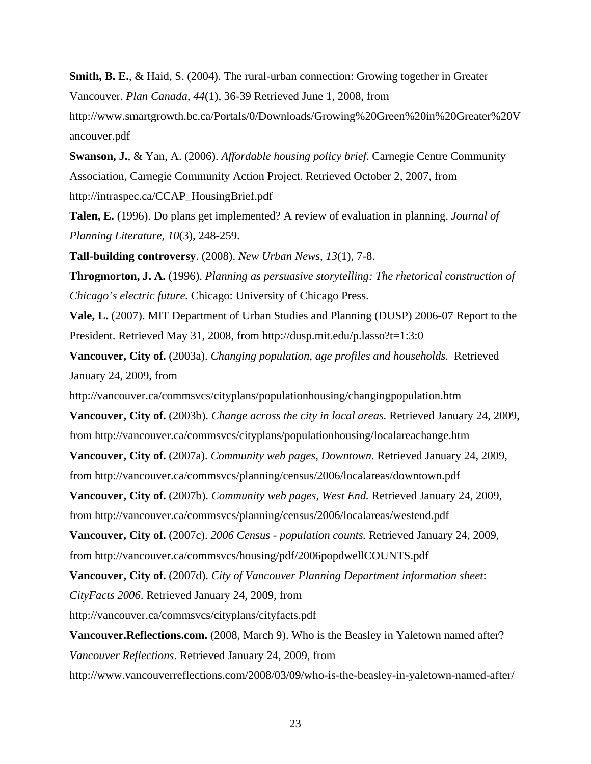**Smith, B. E.**, & Haid, S. (2004). The rural-urban connection: Growing together in Greater Vancouver. *Plan Canada, 44*(1), 36-39 Retrieved June 1, 2008, from

http://www.smartgrowth.bc.ca/Portals/0/Downloads/Growing%20Green%20in%20Greater%20V ancouver.pdf

**Swanson, J.**, & Yan, A. (2006). *Affordable housing policy brief*. Carnegie Centre Community Association, Carnegie Community Action Project. Retrieved October 2, 2007, from http://intraspec.ca/CCAP\_HousingBrief.pdf

**Talen, E.** (1996). Do plans get implemented? A review of evaluation in planning. *Journal of Planning Literature, 10*(3), 248-259.

**Tall-building controversy**. (2008). *New Urban News*, *13*(1), 7-8.

**Throgmorton, J. A.** (1996). *Planning as persuasive storytelling: The rhetorical construction of Chicago's electric future.* Chicago: University of Chicago Press.

**Vale, L.** (2007). MIT Department of Urban Studies and Planning (DUSP) 2006-07 Report to the President. Retrieved May 31, 2008, from http://dusp.mit.edu/p.lasso?t=1:3:0

**Vancouver, City of.** (2003a). *Changing population, age profiles and households.* Retrieved January 24, 2009, from

http://vancouver.ca/commsvcs/cityplans/populationhousing/changingpopulation.htm

**Vancouver, City of.** (2003b). *Change across the city in local areas.* Retrieved January 24, 2009, from http://vancouver.ca/commsvcs/cityplans/populationhousing/localareachange.htm

**Vancouver, City of.** (2007a). *Community web pages, Downtown.* Retrieved January 24, 2009,

from http://vancouver.ca/commsvcs/planning/census/2006/localareas/downtown.pdf

**Vancouver, City of.** (2007b). *Community web pages, West End.* Retrieved January 24, 2009,

from http://vancouver.ca/commsvcs/planning/census/2006/localareas/westend.pdf

**Vancouver, City of.** (2007c). *2006 Census - population counts.* Retrieved January 24, 2009, from http://vancouver.ca/commsvcs/housing/pdf/2006popdwellCOUNTS.pdf

**Vancouver, City of.** (2007d). *City of Vancouver Planning Department information sheet*:

*CityFacts 2006*. Retrieved January 24, 2009, from

http://vancouver.ca/commsvcs/cityplans/cityfacts.pdf

**Vancouver.Reflections.com.** (2008, March 9). Who is the Beasley in Yaletown named after? *Vancouver Reflections*. Retrieved January 24, 2009, from http://www.vancouverreflections.com/2008/03/09/who-is-the-beasley-in-yaletown-named-after/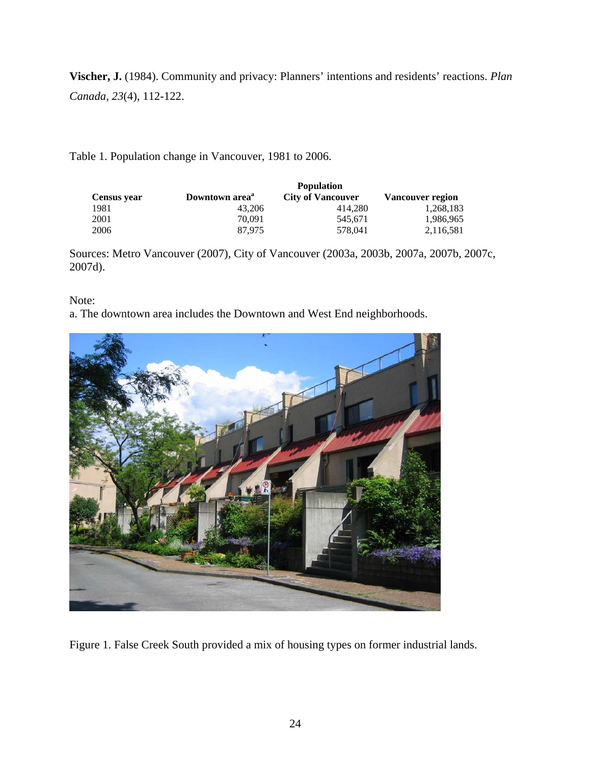**Vischer, J.** (1984). Community and privacy: Planners' intentions and residents' reactions. *Plan Canada*, *23*(4), 112-122.

Table 1. Population change in Vancouver, 1981 to 2006.

|             | <b>Population</b>          |                          |                  |
|-------------|----------------------------|--------------------------|------------------|
| Census year | Downtown area <sup>a</sup> | <b>City of Vancouver</b> | Vancouver region |
| 1981        | 43.206                     | 414.280                  | 1,268,183        |
| 2001        | 70.091                     | 545.671                  | 1.986.965        |
| 2006        | 87.975                     | 578,041                  | 2,116,581        |

Sources: Metro Vancouver (2007), City of Vancouver (2003a, 2003b, 2007a, 2007b, 2007c, 2007d).

Note:

a. The downtown area includes the Downtown and West End neighborhoods.



Figure 1. False Creek South provided a mix of housing types on former industrial lands.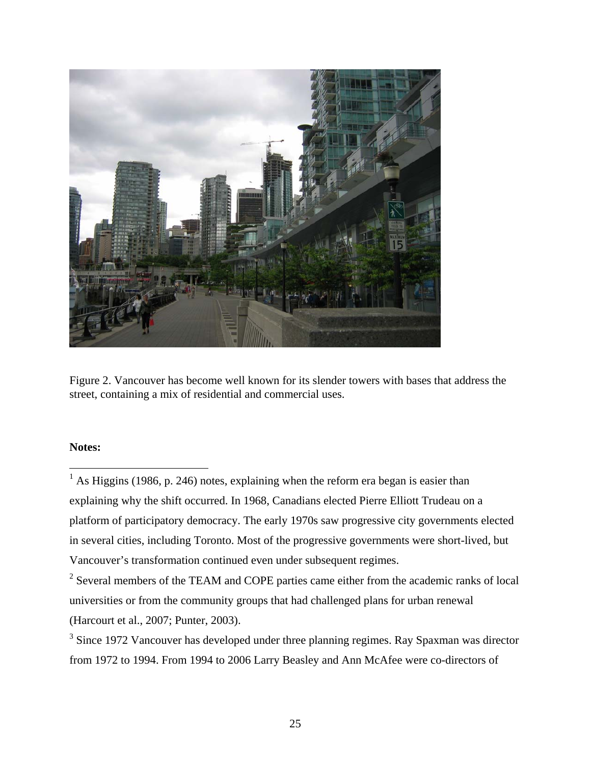

Figure 2. Vancouver has become well known for its slender towers with bases that address the street, containing a mix of residential and commercial uses.

## **Notes:**

 $\overline{a}$ 

 $<sup>1</sup>$  As Higgins (1986, p. 246) notes, explaining when the reform era began is easier than</sup> explaining why the shift occurred. In 1968, Canadians elected Pierre Elliott Trudeau on a platform of participatory democracy. The early 1970s saw progressive city governments elected in several cities, including Toronto. Most of the progressive governments were short-lived, but Vancouver's transformation continued even under subsequent regimes.

 $2^2$  Several members of the TEAM and COPE parties came either from the academic ranks of local universities or from the community groups that had challenged plans for urban renewal (Harcourt et al., 2007; Punter, 2003).

 $3$  Since 1972 Vancouver has developed under three planning regimes. Ray Spaxman was director from 1972 to 1994. From 1994 to 2006 Larry Beasley and Ann McAfee were co-directors of